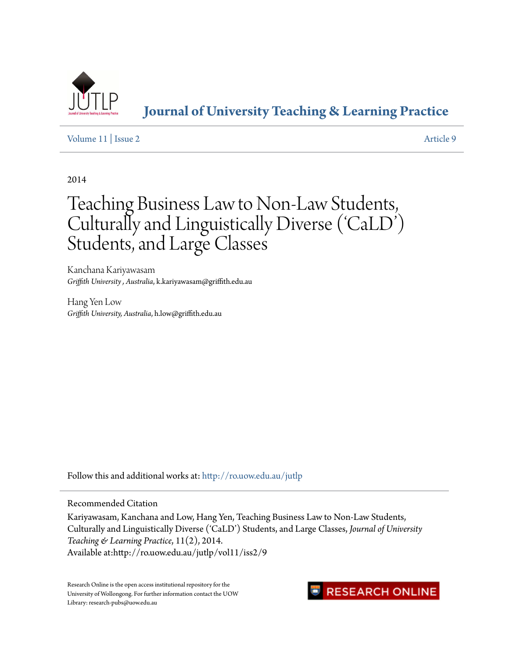

**[Journal of University Teaching & Learning Practice](http://ro.uow.edu.au/jutlp?utm_source=ro.uow.edu.au%2Fjutlp%2Fvol11%2Fiss2%2F9&utm_medium=PDF&utm_campaign=PDFCoverPages)**

[Volume 11](http://ro.uow.edu.au/jutlp/vol11?utm_source=ro.uow.edu.au%2Fjutlp%2Fvol11%2Fiss2%2F9&utm_medium=PDF&utm_campaign=PDFCoverPages) | [Issue 2](http://ro.uow.edu.au/jutlp/vol11/iss2?utm_source=ro.uow.edu.au%2Fjutlp%2Fvol11%2Fiss2%2F9&utm_medium=PDF&utm_campaign=PDFCoverPages) [Article 9](http://ro.uow.edu.au/jutlp/vol11/iss2/9?utm_source=ro.uow.edu.au%2Fjutlp%2Fvol11%2Fiss2%2F9&utm_medium=PDF&utm_campaign=PDFCoverPages)

2014

# Teaching Business Law to Non-Law Students, Culturally and Linguistically Diverse ('CaLD') Students, and Large Classes

Kanchana Kariyawasam *Griffith University , Australia*, k.kariyawasam@griffith.edu.au

Hang Yen Low *Griffith University, Australia*, h.low@griffith.edu.au

Follow this and additional works at: [http://ro.uow.edu.au/jutlp](http://ro.uow.edu.au/jutlp?utm_source=ro.uow.edu.au%2Fjutlp%2Fvol11%2Fiss2%2F9&utm_medium=PDF&utm_campaign=PDFCoverPages)

Recommended Citation

Kariyawasam, Kanchana and Low, Hang Yen, Teaching Business Law to Non-Law Students, Culturally and Linguistically Diverse ('CaLD') Students, and Large Classes, *Journal of University Teaching & Learning Practice*, 11(2), 2014. Available at:http://ro.uow.edu.au/jutlp/vol11/iss2/9

Research Online is the open access institutional repository for the University of Wollongong. For further information contact the UOW Library: research-pubs@uow.edu.au

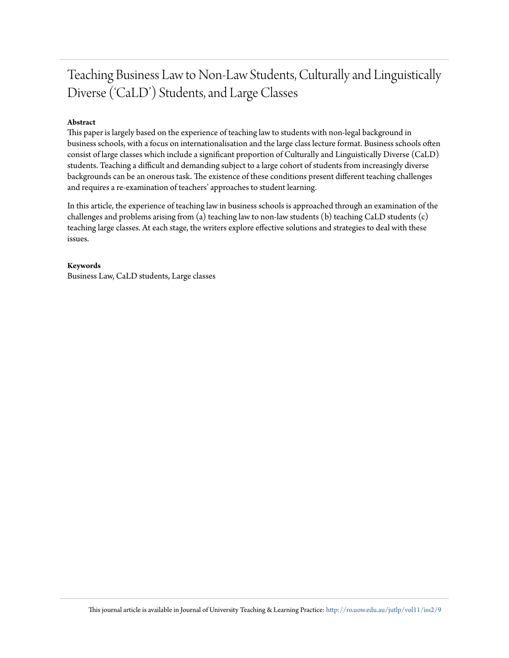## Teaching Business Law to Non-Law Students, Culturally and Linguistically Diverse ('CaLD') Students, and Large Classes

### **Abstract**

This paper is largely based on the experience of teaching law to students with non-legal background in business schools, with a focus on internationalisation and the large class lecture format. Business schools often consist of large classes which include a significant proportion of Culturally and Linguistically Diverse (CaLD) students. Teaching a difficult and demanding subject to a large cohort of students from increasingly diverse backgrounds can be an onerous task. The existence of these conditions present different teaching challenges and requires a re-examination of teachers' approaches to student learning.

In this article, the experience of teaching law in business schools is approached through an examination of the challenges and problems arising from (a) teaching law to non-law students (b) teaching CaLD students (c) teaching large classes. At each stage, the writers explore effective solutions and strategies to deal with these issues.

### **Keywords**

Business Law, CaLD students, Large classes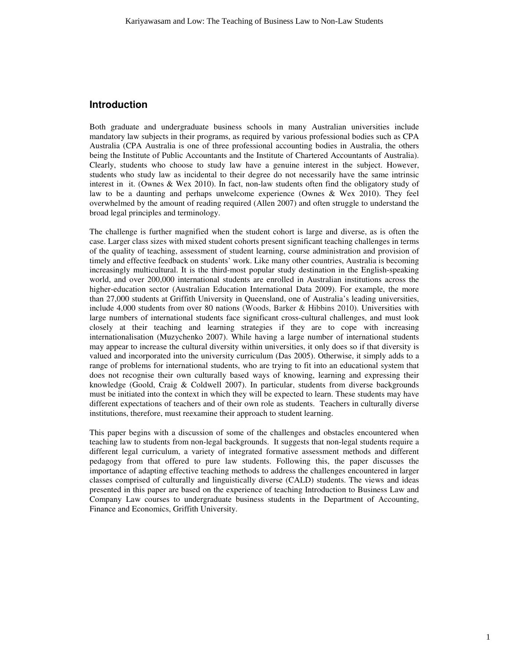### **Introduction**

Both graduate and undergraduate business schools in many Australian universities include mandatory law subjects in their programs, as required by various professional bodies such as CPA Australia (CPA Australia is one of three professional accounting bodies in Australia, the others being the Institute of Public Accountants and the Institute of Chartered Accountants of Australia). Clearly, students who choose to study law have a genuine interest in the subject. However, students who study law as incidental to their degree do not necessarily have the same intrinsic interest in it. (Ownes & Wex 2010). In fact, non-law students often find the obligatory study of law to be a daunting and perhaps unwelcome experience (Ownes & Wex 2010). They feel overwhelmed by the amount of reading required (Allen 2007) and often struggle to understand the broad legal principles and terminology.

The challenge is further magnified when the student cohort is large and diverse, as is often the case. Larger class sizes with mixed student cohorts present significant teaching challenges in terms of the quality of teaching, assessment of student learning, course administration and provision of timely and effective feedback on students' work. Like many other countries, Australia is becoming increasingly multicultural. It is the third-most popular study destination in the English-speaking world, and over 200,000 international students are enrolled in Australian institutions across the higher-education sector (Australian Education International Data 2009). For example, the more than 27,000 students at Griffith University in Queensland, one of Australia's leading universities, include 4,000 students from over 80 nations (Woods, Barker & Hibbins 2010). Universities with large numbers of international students face significant cross-cultural challenges, and must look closely at their teaching and learning strategies if they are to cope with increasing internationalisation (Muzychenko 2007). While having a large number of international students may appear to increase the cultural diversity within universities, it only does so if that diversity is valued and incorporated into the university curriculum (Das 2005). Otherwise, it simply adds to a range of problems for international students, who are trying to fit into an educational system that does not recognise their own culturally based ways of knowing, learning and expressing their knowledge (Goold, Craig & Coldwell 2007). In particular, students from diverse backgrounds must be initiated into the context in which they will be expected to learn. These students may have different expectations of teachers and of their own role as students. Teachers in culturally diverse institutions, therefore, must reexamine their approach to student learning.

This paper begins with a discussion of some of the challenges and obstacles encountered when teaching law to students from non-legal backgrounds. It suggests that non-legal students require a different legal curriculum, a variety of integrated formative assessment methods and different pedagogy from that offered to pure law students. Following this, the paper discusses the importance of adapting effective teaching methods to address the challenges encountered in larger classes comprised of culturally and linguistically diverse (CALD) students. The views and ideas presented in this paper are based on the experience of teaching Introduction to Business Law and Company Law courses to undergraduate business students in the Department of Accounting, Finance and Economics, Griffith University.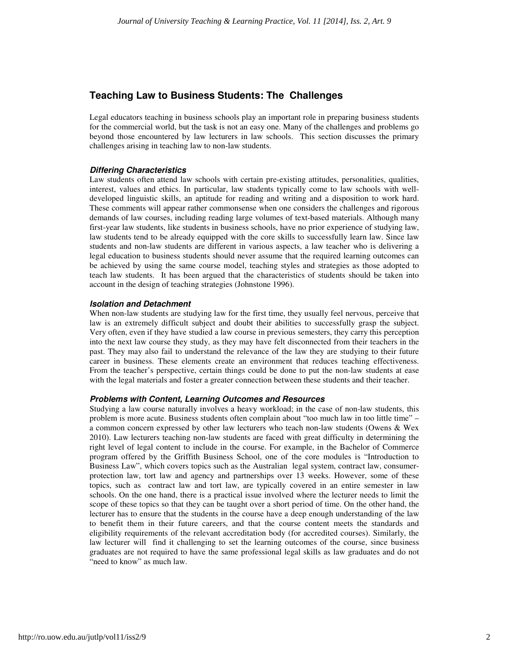### **Teaching Law to Business Students: The Challenges**

Legal educators teaching in business schools play an important role in preparing business students for the commercial world, but the task is not an easy one. Many of the challenges and problems go beyond those encountered by law lecturers in law schools. This section discusses the primary challenges arising in teaching law to non-law students.

### **Differing Characteristics**

Law students often attend law schools with certain pre-existing attitudes, personalities, qualities, interest, values and ethics. In particular, law students typically come to law schools with welldeveloped linguistic skills, an aptitude for reading and writing and a disposition to work hard. These comments will appear rather commonsense when one considers the challenges and rigorous demands of law courses, including reading large volumes of text-based materials. Although many first-year law students, like students in business schools, have no prior experience of studying law, law students tend to be already equipped with the core skills to successfully learn law. Since law students and non-law students are different in various aspects, a law teacher who is delivering a legal education to business students should never assume that the required learning outcomes can be achieved by using the same course model, teaching styles and strategies as those adopted to teach law students. It has been argued that the characteristics of students should be taken into account in the design of teaching strategies (Johnstone 1996).

### **Isolation and Detachment**

When non-law students are studying law for the first time, they usually feel nervous, perceive that law is an extremely difficult subject and doubt their abilities to successfully grasp the subject. Very often, even if they have studied a law course in previous semesters, they carry this perception into the next law course they study, as they may have felt disconnected from their teachers in the past. They may also fail to understand the relevance of the law they are studying to their future career in business. These elements create an environment that reduces teaching effectiveness. From the teacher's perspective, certain things could be done to put the non-law students at ease with the legal materials and foster a greater connection between these students and their teacher.

### **Problems with Content, Learning Outcomes and Resources**

Studying a law course naturally involves a heavy workload; in the case of non-law students, this problem is more acute. Business students often complain about "too much law in too little time" – a common concern expressed by other law lecturers who teach non-law students (Owens & Wex 2010). Law lecturers teaching non-law students are faced with great difficulty in determining the right level of legal content to include in the course. For example, in the Bachelor of Commerce program offered by the Griffith Business School, one of the core modules is "Introduction to Business Law", which covers topics such as the Australian legal system, contract law, consumerprotection law, tort law and agency and partnerships over 13 weeks. However, some of these topics, such as contract law and tort law, are typically covered in an entire semester in law schools. On the one hand, there is a practical issue involved where the lecturer needs to limit the scope of these topics so that they can be taught over a short period of time. On the other hand, the lecturer has to ensure that the students in the course have a deep enough understanding of the law to benefit them in their future careers, and that the course content meets the standards and eligibility requirements of the relevant accreditation body (for accredited courses). Similarly, the law lecturer will find it challenging to set the learning outcomes of the course, since business graduates are not required to have the same professional legal skills as law graduates and do not "need to know" as much law.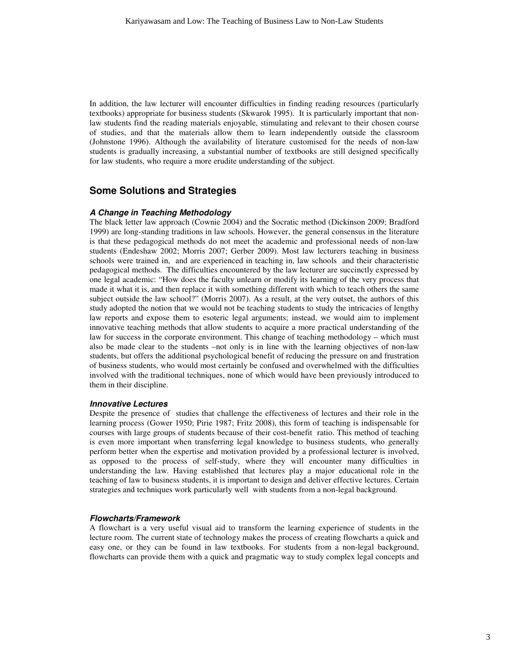In addition, the law lecturer will encounter difficulties in finding reading resources (particularly textbooks) appropriate for business students (Skwarok 1995). It is particularly important that nonlaw students find the reading materials enjoyable, stimulating and relevant to their chosen course of studies, and that the materials allow them to learn independently outside the classroom (Johnstone 1996). Although the availability of literature customised for the needs of non-law students is gradually increasing, a substantial number of textbooks are still designed specifically for law students, who require a more erudite understanding of the subject.

### **Some Solutions and Strategies**

#### **A Change in Teaching Methodology**

The black letter law approach (Cownie 2004) and the Socratic method (Dickinson 2009; Bradford 1999) are long-standing traditions in law schools. However, the general consensus in the literature is that these pedagogical methods do not meet the academic and professional needs of non-law students (Endeshaw 2002; Morris 2007; Gerber 2009). Most law lecturers teaching in business schools were trained in, and are experienced in teaching in, law schools and their characteristic pedagogical methods. The difficulties encountered by the law lecturer are succinctly expressed by one legal academic: "How does the faculty unlearn or modify its learning of the very process that made it what it is, and then replace it with something different with which to teach others the same subject outside the law school?" (Morris 2007). As a result, at the very outset, the authors of this study adopted the notion that we would not be teaching students to study the intricacies of lengthy law reports and expose them to esoteric legal arguments; instead, we would aim to implement innovative teaching methods that allow students to acquire a more practical understanding of the law for success in the corporate environment. This change of teaching methodology – which must also be made clear to the students –not only is in line with the learning objectives of non-law students, but offers the additional psychological benefit of reducing the pressure on and frustration of business students, who would most certainly be confused and overwhelmed with the difficulties involved with the traditional techniques, none of which would have been previously introduced to them in their discipline.

#### **Innovative Lectures**

Despite the presence of studies that challenge the effectiveness of lectures and their role in the learning process (Gower 1950; Pirie 1987; Fritz 2008), this form of teaching is indispensable for courses with large groups of students because of their cost-benefit ratio. This method of teaching is even more important when transferring legal knowledge to business students, who generally perform better when the expertise and motivation provided by a professional lecturer is involved, as opposed to the process of self-study, where they will encounter many difficulties in understanding the law. Having established that lectures play a major educational role in the teaching of law to business students, it is important to design and deliver effective lectures. Certain strategies and techniques work particularly well with students from a non-legal background.

#### **Flowcharts/Framework**

A flowchart is a very useful visual aid to transform the learning experience of students in the lecture room. The current state of technology makes the process of creating flowcharts a quick and easy one, or they can be found in law textbooks. For students from a non-legal background, flowcharts can provide them with a quick and pragmatic way to study complex legal concepts and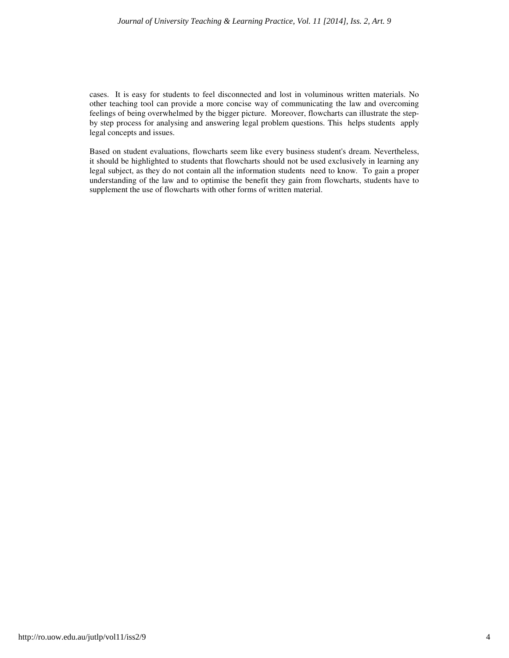cases. It is easy for students to feel disconnected and lost in voluminous written materials. No other teaching tool can provide a more concise way of communicating the law and overcoming feelings of being overwhelmed by the bigger picture. Moreover, flowcharts can illustrate the stepby step process for analysing and answering legal problem questions. This helps students apply legal concepts and issues.

Based on student evaluations, flowcharts seem like every business student's dream. Nevertheless, it should be highlighted to students that flowcharts should not be used exclusively in learning any legal subject, as they do not contain all the information students need to know. To gain a proper understanding of the law and to optimise the benefit they gain from flowcharts, students have to supplement the use of flowcharts with other forms of written material.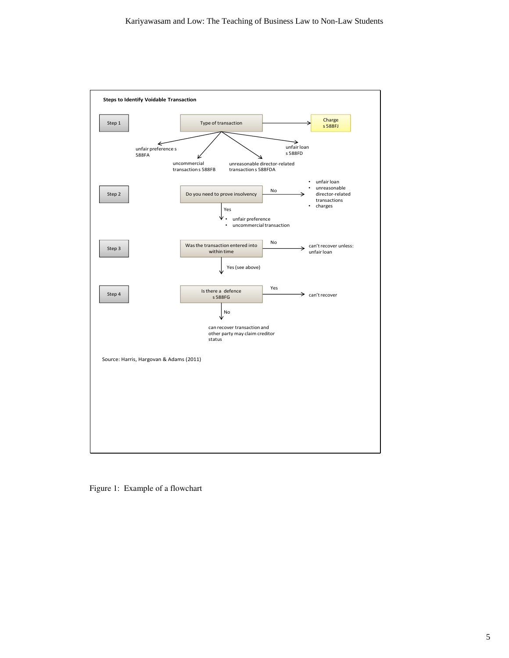

Figure 1: Example of a flowchart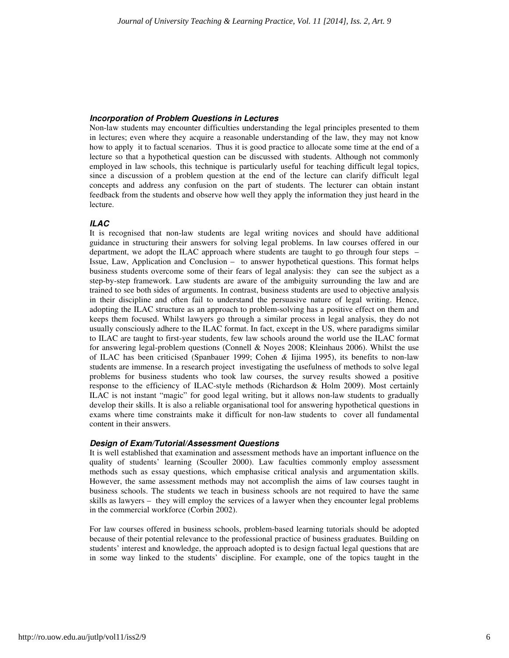### **Incorporation of Problem Questions in Lectures**

Non-law students may encounter difficulties understanding the legal principles presented to them in lectures; even where they acquire a reasonable understanding of the law, they may not know how to apply it to factual scenarios. Thus it is good practice to allocate some time at the end of a lecture so that a hypothetical question can be discussed with students. Although not commonly employed in law schools, this technique is particularly useful for teaching difficult legal topics, since a discussion of a problem question at the end of the lecture can clarify difficult legal concepts and address any confusion on the part of students. The lecturer can obtain instant feedback from the students and observe how well they apply the information they just heard in the lecture.

### **ILAC**

It is recognised that non-law students are legal writing novices and should have additional guidance in structuring their answers for solving legal problems. In law courses offered in our department, we adopt the ILAC approach where students are taught to go through four steps – Issue, Law, Application and Conclusion – to answer hypothetical questions. This format helps business students overcome some of their fears of legal analysis: they can see the subject as a step-by-step framework. Law students are aware of the ambiguity surrounding the law and are trained to see both sides of arguments. In contrast, business students are used to objective analysis in their discipline and often fail to understand the persuasive nature of legal writing. Hence, adopting the ILAC structure as an approach to problem-solving has a positive effect on them and keeps them focused. Whilst lawyers go through a similar process in legal analysis, they do not usually consciously adhere to the ILAC format. In fact, except in the US, where paradigms similar to ILAC are taught to first-year students, few law schools around the world use the ILAC format for answering legal-problem questions (Connell & Noyes 2008; Kleinhaus 2006). Whilst the use of ILAC has been criticised (Spanbauer 1999; Cohen *&* Iijima 1995), its benefits to non-law students are immense. In a research project investigating the usefulness of methods to solve legal problems for business students who took law courses, the survey results showed a positive response to the efficiency of ILAC-style methods (Richardson & Holm 2009). Most certainly ILAC is not instant "magic" for good legal writing, but it allows non-law students to gradually develop their skills. It is also a reliable organisational tool for answering hypothetical questions in exams where time constraints make it difficult for non-law students to cover all fundamental content in their answers.

### **Design of Exam/Tutorial/Assessment Questions**

It is well established that examination and assessment methods have an important influence on the quality of students' learning (Scouller 2000). Law faculties commonly employ assessment methods such as essay questions, which emphasise critical analysis and argumentation skills. However, the same assessment methods may not accomplish the aims of law courses taught in business schools. The students we teach in business schools are not required to have the same skills as lawyers – they will employ the services of a lawyer when they encounter legal problems in the commercial workforce (Corbin 2002).

For law courses offered in business schools, problem-based learning tutorials should be adopted because of their potential relevance to the professional practice of business graduates. Building on students' interest and knowledge, the approach adopted is to design factual legal questions that are in some way linked to the students' discipline. For example, one of the topics taught in the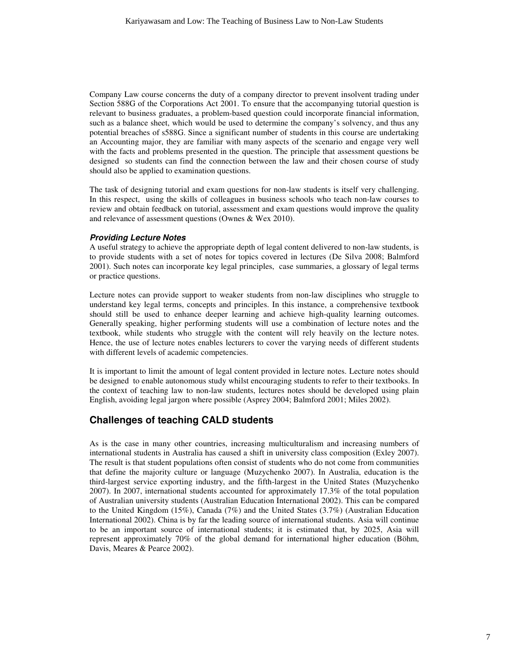Company Law course concerns the duty of a company director to prevent insolvent trading under Section 588G of the Corporations Act 2001. To ensure that the accompanying tutorial question is relevant to business graduates, a problem-based question could incorporate financial information, such as a balance sheet, which would be used to determine the company's solvency, and thus any potential breaches of s588G. Since a significant number of students in this course are undertaking an Accounting major, they are familiar with many aspects of the scenario and engage very well with the facts and problems presented in the question. The principle that assessment questions be designed so students can find the connection between the law and their chosen course of study should also be applied to examination questions.

The task of designing tutorial and exam questions for non-law students is itself very challenging. In this respect, using the skills of colleagues in business schools who teach non-law courses to review and obtain feedback on tutorial, assessment and exam questions would improve the quality and relevance of assessment questions (Ownes & Wex 2010).

### **Providing Lecture Notes**

A useful strategy to achieve the appropriate depth of legal content delivered to non-law students, is to provide students with a set of notes for topics covered in lectures (De Silva 2008; Balmford 2001). Such notes can incorporate key legal principles, case summaries, a glossary of legal terms or practice questions.

Lecture notes can provide support to weaker students from non-law disciplines who struggle to understand key legal terms, concepts and principles. In this instance, a comprehensive textbook should still be used to enhance deeper learning and achieve high-quality learning outcomes. Generally speaking, higher performing students will use a combination of lecture notes and the textbook, while students who struggle with the content will rely heavily on the lecture notes. Hence, the use of lecture notes enables lecturers to cover the varying needs of different students with different levels of academic competencies.

It is important to limit the amount of legal content provided in lecture notes. Lecture notes should be designed to enable autonomous study whilst encouraging students to refer to their textbooks. In the context of teaching law to non-law students, lectures notes should be developed using plain English, avoiding legal jargon where possible (Asprey 2004; Balmford 2001; Miles 2002).

### **Challenges of teaching CALD students**

As is the case in many other countries, increasing multiculturalism and increasing numbers of international students in Australia has caused a shift in university class composition (Exley 2007). The result is that student populations often consist of students who do not come from communities that define the majority culture or language (Muzychenko 2007). In Australia, education is the third-largest service exporting industry, and the fifth-largest in the United States (Muzychenko 2007). In 2007, international students accounted for approximately 17.3% of the total population of Australian university students (Australian Education International 2002). This can be compared to the United Kingdom (15%), Canada (7%) and the United States (3.7%) (Australian Education International 2002). China is by far the leading source of international students. Asia will continue to be an important source of international students; it is estimated that, by 2025, Asia will represent approximately 70% of the global demand for international higher education (Böhm, Davis, Meares & Pearce 2002).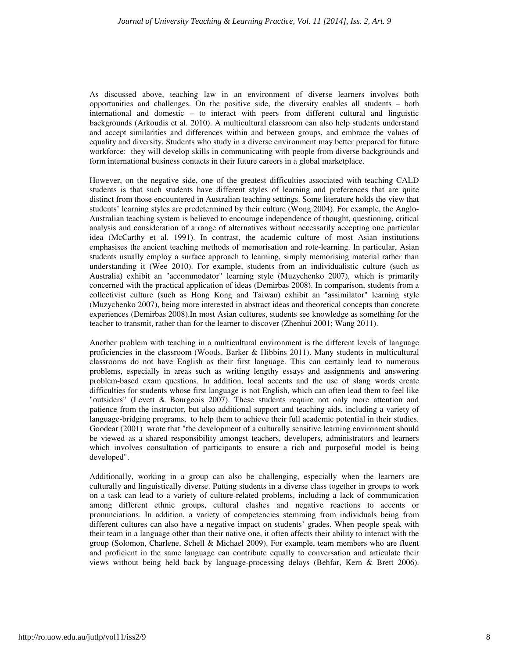As discussed above, teaching law in an environment of diverse learners involves both opportunities and challenges. On the positive side, the diversity enables all students – both international and domestic – to interact with peers from different cultural and linguistic backgrounds (Arkoudis et al. 2010). A multicultural classroom can also help students understand and accept similarities and differences within and between groups, and embrace the values of equality and diversity. Students who study in a diverse environment may better prepared for future workforce: they will develop skills in communicating with people from diverse backgrounds and form international business contacts in their future careers in a global marketplace.

However, on the negative side, one of the greatest difficulties associated with teaching CALD students is that such students have different styles of learning and preferences that are quite distinct from those encountered in Australian teaching settings. Some literature holds the view that students' learning styles are predetermined by their culture (Wong 2004). For example, the Anglo-Australian teaching system is believed to encourage independence of thought, questioning, critical analysis and consideration of a range of alternatives without necessarily accepting one particular idea (McCarthy et al. 1991). In contrast, the academic culture of most Asian institutions emphasises the ancient teaching methods of memorisation and rote-learning. In particular, Asian students usually employ a surface approach to learning, simply memorising material rather than understanding it (Wee 2010). For example, students from an individualistic culture (such as Australia) exhibit an "accommodator" learning style (Muzychenko 2007), which is primarily concerned with the practical application of ideas (Demirbas 2008). In comparison, students from a collectivist culture (such as Hong Kong and Taiwan) exhibit an "assimilator" learning style (Muzychenko 2007), being more interested in abstract ideas and theoretical concepts than concrete experiences (Demirbas 2008).In most Asian cultures, students see knowledge as something for the teacher to transmit, rather than for the learner to discover (Zhenhui 2001; Wang 2011).

Another problem with teaching in a multicultural environment is the different levels of language proficiencies in the classroom (Woods, Barker & Hibbins 2011). Many students in multicultural classrooms do not have English as their first language. This can certainly lead to numerous problems, especially in areas such as writing lengthy essays and assignments and answering problem-based exam questions. In addition, local accents and the use of slang words create difficulties for students whose first language is not English, which can often lead them to feel like "outsiders" (Levett & Bourgeois 2007). These students require not only more attention and patience from the instructor, but also additional support and teaching aids, including a variety of language-bridging programs, to help them to achieve their full academic potential in their studies. Goodear (2001) wrote that "the development of a culturally sensitive learning environment should be viewed as a shared responsibility amongst teachers, developers, administrators and learners which involves consultation of participants to ensure a rich and purposeful model is being developed".

Additionally, working in a group can also be challenging, especially when the learners are culturally and linguistically diverse. Putting students in a diverse class together in groups to work on a task can lead to a variety of culture-related problems, including a lack of communication among different ethnic groups, cultural clashes and negative reactions to accents or pronunciations. In addition, a variety of competencies stemming from individuals being from different cultures can also have a negative impact on students' grades. When people speak with their team in a language other than their native one, it often affects their ability to interact with the group (Solomon, Charlene, Schell & Michael 2009). For example, team members who are fluent and proficient in the same language can contribute equally to conversation and articulate their views without being held back by language-processing delays (Behfar, Kern & Brett 2006).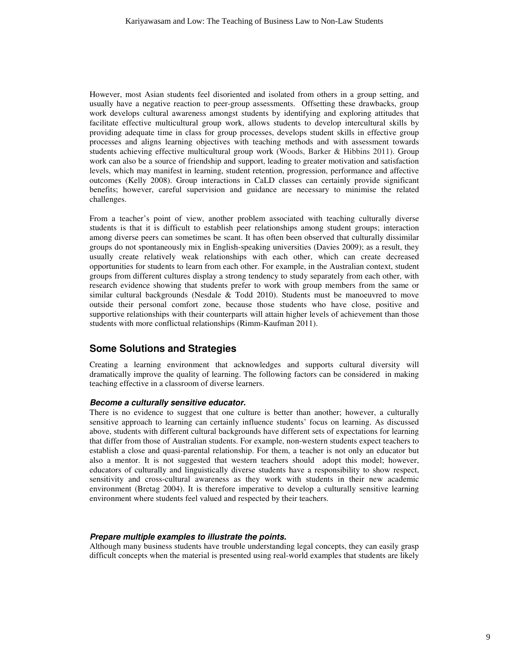However, most Asian students feel disoriented and isolated from others in a group setting, and usually have a negative reaction to peer-group assessments. Offsetting these drawbacks, group work develops cultural awareness amongst students by identifying and exploring attitudes that facilitate effective multicultural group work, allows students to develop intercultural skills by providing adequate time in class for group processes, develops student skills in effective group processes and aligns learning objectives with teaching methods and with assessment towards students achieving effective multicultural group work (Woods, Barker & Hibbins 2011). Group work can also be a source of friendship and support, leading to greater motivation and satisfaction levels, which may manifest in learning, student retention, progression, performance and affective outcomes (Kelly 2008). Group interactions in CaLD classes can certainly provide significant benefits; however, careful supervision and guidance are necessary to minimise the related challenges.

From a teacher's point of view, another problem associated with teaching culturally diverse students is that it is difficult to establish peer relationships among student groups; interaction among diverse peers can sometimes be scant. It has often been observed that culturally dissimilar groups do not spontaneously mix in English-speaking universities (Davies 2009); as a result, they usually create relatively weak relationships with each other, which can create decreased opportunities for students to learn from each other. For example, in the Australian context, student groups from different cultures display a strong tendency to study separately from each other, with research evidence showing that students prefer to work with group members from the same or similar cultural backgrounds (Nesdale  $&$  Todd 2010). Students must be manoeuvred to move outside their personal comfort zone, because those students who have close, positive and supportive relationships with their counterparts will attain higher levels of achievement than those students with more conflictual relationships (Rimm-Kaufman 2011).

### **Some Solutions and Strategies**

Creating a learning environment that acknowledges and supports cultural diversity will dramatically improve the quality of learning. The following factors can be considered in making teaching effective in a classroom of diverse learners.

### **Become a culturally sensitive educator.**

There is no evidence to suggest that one culture is better than another; however, a culturally sensitive approach to learning can certainly influence students' focus on learning. As discussed above, students with different cultural backgrounds have different sets of expectations for learning that differ from those of Australian students. For example, non-western students expect teachers to establish a close and quasi-parental relationship. For them, a teacher is not only an educator but also a mentor. It is not suggested that western teachers should adopt this model; however, educators of culturally and linguistically diverse students have a responsibility to show respect, sensitivity and cross-cultural awareness as they work with students in their new academic environment (Bretag 2004). It is therefore imperative to develop a culturally sensitive learning environment where students feel valued and respected by their teachers.

### **Prepare multiple examples to illustrate the points.**

Although many business students have trouble understanding legal concepts, they can easily grasp difficult concepts when the material is presented using real*-*world examples that students are likely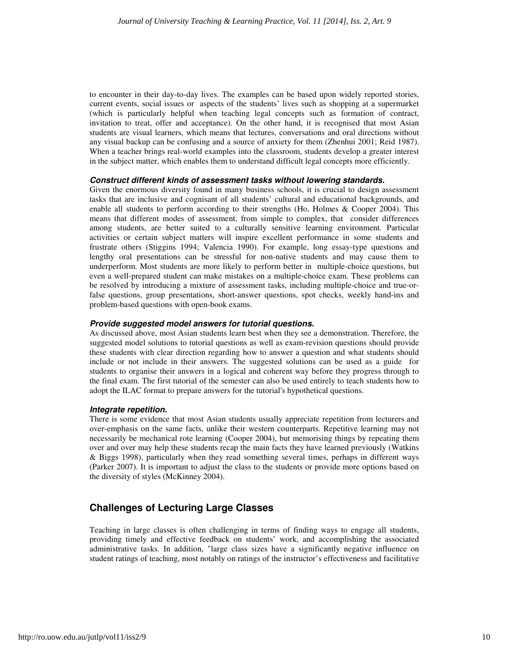to encounter in their day-to-day lives. The examples can be based upon widely reported stories, current events, social issues or aspects of the students' lives such as shopping at a supermarket (which is particularly helpful when teaching legal concepts such as formation of contract, invitation to treat, offer and acceptance). On the other hand, it is recognised that most Asian students are visual learners, which means that lectures, conversations and oral directions without any visual backup can be confusing and a source of anxiety for them (Zhenhui 2001; Reid 1987). When a teacher brings real-world examples into the classroom, students develop a greater interest in the subject matter, which enables them to understand difficult legal concepts more efficiently.

### **Construct different kinds of assessment tasks without lowering standards.**

Given the enormous diversity found in many business schools, it is crucial to design assessment tasks that are inclusive and cognisant of all students' cultural and educational backgrounds, and enable all students to perform according to their strengths (Ho, Holmes & Cooper 2004). This means that different modes of assessment, from simple to complex, that consider differences among students, are better suited to a culturally sensitive learning environment*.* Particular activities or certain subject matters will inspire excellent performance in some students and frustrate others (Stiggins 1994; Valencia 1990). For example, long essay-type questions and lengthy oral presentations can be stressful for non-native students and may cause them to underperform. Most students are more likely to perform better in multiple-choice questions, but even a well*-*prepared student can make mistakes on a multiple-choice exam. These problems can be resolved by introducing a mixture of assessment tasks, including multiple-choice and true-orfalse questions, group presentations, short-answer questions, spot checks, weekly hand-ins and problem-based questions with open-book exams.

### **Provide suggested model answers for tutorial questions.**

As discussed above, most Asian students learn best when they see a demonstration. Therefore, the suggested model solutions to tutorial questions as well as exam-revision questions should provide these students with clear direction regarding how to answer a question and what students should include or not include in their answers. The suggested solutions can be used as a guide for students to organise their answers in a logical and coherent way before they progress through to the final exam. The first tutorial of the semester can also be used entirely to teach students how to adopt the ILAC format to prepare answers for the tutorial's hypothetical questions.

### **Integrate repetition.**

There is some evidence that most Asian students usually appreciate repetition from lecturers and over-emphasis on the same facts, unlike their western counterparts. Repetitive learning may not necessarily be mechanical rote learning (Cooper 2004), but memorising things by repeating them over and over may help these students recap the main facts they have learned previously (Watkins & Biggs 1998), particularly when they read something several times, perhaps in different ways (Parker 2007). It is important to adjust the class to the students or provide more options based on the diversity of styles (McKinney 2004).

### **Challenges of Lecturing Large Classes**

Teaching in large classes is often challenging in terms of finding ways to engage all students, providing timely and effective feedback on students' work, and accomplishing the associated administrative tasks. In addition, "large class sizes have a significantly negative influence on student ratings of teaching, most notably on ratings of the instructor's effectiveness and facilitative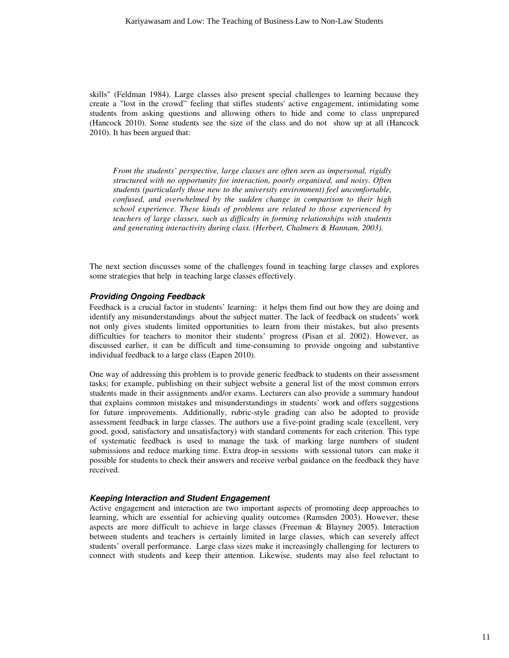skills" (Feldman 1984). Large classes also present special challenges to learning because they create a "lost in the crowd" feeling that stifles students' active engagement, intimidating some students from asking questions and allowing others to hide and come to class unprepared (Hancock 2010). Some students see the size of the class and do not show up at all (Hancock 2010). It has been argued that:

*From the students' perspective, large classes are often seen as impersonal, rigidly structured with no opportunity for interaction, poorly organised, and noisy. Often students (particularly those new to the university environment) feel uncomfortable, confused, and overwhelmed by the sudden change in comparison to their high school experience. These kinds of problems are related to those experienced by teachers of large classes, such as difficulty in forming relationships with students and generating interactivity during class. (Herbert, Chalmers & Hannam, 2003).*

The next section discusses some of the challenges found in teaching large classes and explores some strategies that help in teaching large classes effectively.

### **Providing Ongoing Feedback**

Feedback is a crucial factor in students' learning: it helps them find out how they are doing and identify any misunderstandings about the subject matter. The lack of feedback on students' work not only gives students limited opportunities to learn from their mistakes, but also presents difficulties for teachers to monitor their students' progress (Pisan et al. 2002). However, as discussed earlier, it can be difficult and time-consuming to provide ongoing and substantive individual feedback to a large class (Eapen 2010).

One way of addressing this problem is to provide generic feedback to students on their assessment tasks; for example, publishing on their subject website a general list of the most common errors students made in their assignments and/or exams. Lecturers can also provide a summary handout that explains common mistakes and misunderstandings in students' work and offers suggestions for future improvements. Additionally, rubric-style grading can also be adopted to provide assessment feedback in large classes. The authors use a five-point grading scale (excellent, very good, good, satisfactory and unsatisfactory) with standard comments for each criterion. This type of systematic feedback is used to manage the task of marking large numbers of student submissions and reduce marking time. Extra drop-in sessions with sessional tutors can make it possible for students to check their answers and receive verbal guidance on the feedback they have received.

### **Keeping Interaction and Student Engagement**

Active engagement and interaction are two important aspects of promoting deep approaches to learning, which are essential for achieving quality outcomes (Ramsden 2003). However, these aspects are more difficult to achieve in large classes (Freeman & Blayney 2005). Interaction between students and teachers is certainly limited in large classes, which can severely affect students' overall performance. Large class sizes make it increasingly challenging for lecturers to connect with students and keep their attention. Likewise, students may also feel reluctant to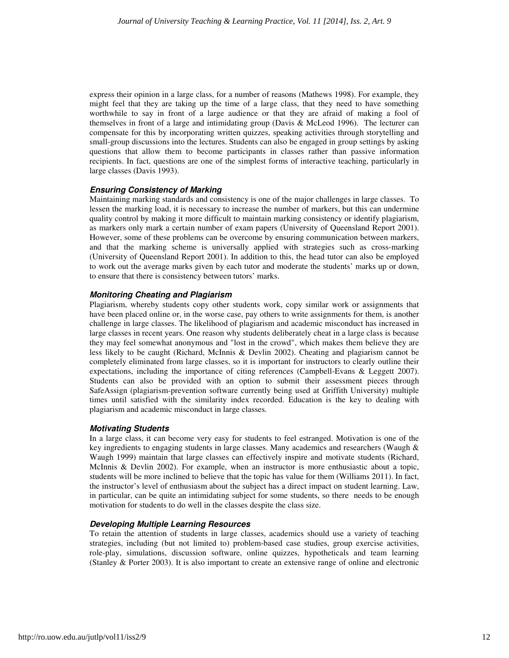express their opinion in a large class, for a number of reasons (Mathews 1998). For example, they might feel that they are taking up the time of a large class, that they need to have something worthwhile to say in front of a large audience or that they are afraid of making a fool of themselves in front of a large and intimidating group (Davis & McLeod 1996). The lecturer can compensate for this by incorporating written quizzes, speaking activities through storytelling and small-group discussions into the lectures. Students can also be engaged in group settings by asking questions that allow them to become participants in classes rather than passive information recipients. In fact, questions are one of the simplest forms of interactive teaching, particularly in large classes (Davis 1993).

### **Ensuring Consistency of Marking**

Maintaining marking standards and consistency is one of the major challenges in large classes. To lessen the marking load, it is necessary to increase the number of markers, but this can undermine quality control by making it more difficult to maintain marking consistency or identify plagiarism, as markers only mark a certain number of exam papers (University of Queensland Report 2001). However, some of these problems can be overcome by ensuring communication between markers, and that the marking scheme is universally applied with strategies such as cross-marking (University of Queensland Report 2001). In addition to this, the head tutor can also be employed to work out the average marks given by each tutor and moderate the students' marks up or down, to ensure that there is consistency between tutors' marks.

### **Monitoring Cheating and Plagiarism**

Plagiarism, whereby students copy other students work, copy similar work or assignments that have been placed online or, in the worse case, pay others to write assignments for them, is another challenge in large classes. The likelihood of plagiarism and academic misconduct has increased in large classes in recent years. One reason why students deliberately cheat in a large class is because they may feel somewhat anonymous and "lost in the crowd", which makes them believe they are less likely to be caught (Richard, McInnis & Devlin 2002). Cheating and plagiarism cannot be completely eliminated from large classes, so it is important for instructors to clearly outline their expectations, including the importance of citing references (Campbell-Evans & Leggett 2007). Students can also be provided with an option to submit their assessment pieces through SafeAssign (plagiarism-prevention software currently being used at Griffith University) multiple times until satisfied with the similarity index recorded. Education is the key to dealing with plagiarism and academic misconduct in large classes.

### **Motivating Students**

In a large class, it can become very easy for students to feel estranged. Motivation is one of the key ingredients to engaging students in large classes. Many academics and researchers (Waugh  $\&$ Waugh 1999) maintain that large classes can effectively inspire and motivate students (Richard, McInnis & Devlin 2002). For example, when an instructor is more enthusiastic about a topic, students will be more inclined to believe that the topic has value for them (Williams 2011). In fact, the instructor's level of enthusiasm about the subject has a direct impact on student learning. Law, in particular, can be quite an intimidating subject for some students, so there needs to be enough motivation for students to do well in the classes despite the class size.

### **Developing Multiple Learning Resources**

To retain the attention of students in large classes, academics should use a variety of teaching strategies, including (but not limited to) problem-based case studies, group exercise activities, role-play, simulations, discussion software, online quizzes, hypotheticals and team learning (Stanley & Porter 2003). It is also important to create an extensive range of online and electronic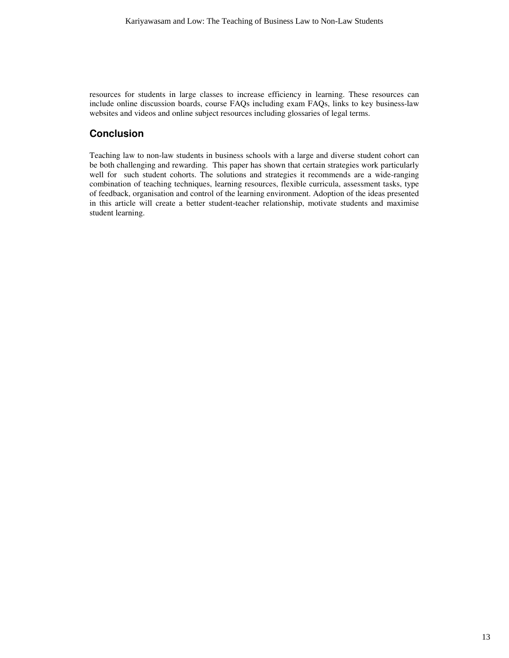resources for students in large classes to increase efficiency in learning. These resources can include online discussion boards, course FAQs including exam FAQs, links to key business-law websites and videos and online subject resources including glossaries of legal terms.

### **Conclusion**

Teaching law to non-law students in business schools with a large and diverse student cohort can be both challenging and rewarding. This paper has shown that certain strategies work particularly well for such student cohorts. The solutions and strategies it recommends are a wide-ranging combination of teaching techniques, learning resources, flexible curricula, assessment tasks, type of feedback, organisation and control of the learning environment. Adoption of the ideas presented in this article will create a better student-teacher relationship, motivate students and maximise student learning.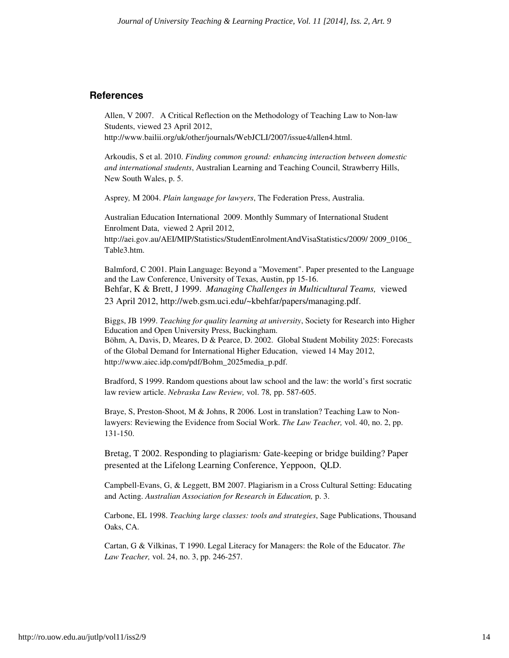### **References**

Allen, V 2007. A Critical Reflection on the Methodology of Teaching Law to Non-law Students, viewed 23 April 2012,

http://www.bailii.org/uk/other/journals/WebJCLI/2007/issue4/allen4.html.

Arkoudis, S et al. 2010. *Finding common ground: enhancing interaction between domestic and international students*, Australian Learning and Teaching Council, Strawberry Hills, New South Wales, p. 5.

Asprey*,* M 2004. *Plain language for lawyers*, The Federation Press, Australia.

Australian Education International 2009. Monthly Summary of International Student Enrolment Data, viewed 2 April 2012, http://aei.gov.au/AEI/MIP/Statistics/StudentEnrolmentAndVisaStatistics/2009/ 2009\_0106\_ Table3.htm.

Balmford, C 2001. Plain Language: Beyond a "Movement". Paper presented to the Language and the Law Conference, University of Texas, Austin, pp 15-16. Behfar, K & Brett, J 1999. *Managing Challenges in Multicultural Teams,* viewed 23 April 2012, http://web.gsm.uci.edu/~kbehfar/papers/managing.pdf.

Biggs, JB 1999. *Teaching for quality learning at university*, Society for Research into Higher Education and Open University Press, Buckingham. Böhm, A, Davis, D, Meares, D & Pearce, D. 2002. Global Student Mobility 2025: Forecasts of the Global Demand for International Higher Education, viewed 14 May 2012, http://www.aiec.idp.com/pdf/Bohm\_2025media\_p.pdf.

Bradford, S 1999. Random questions about law school and the law: the world's first socratic law review article. *Nebraska Law Review,* vol. 78*,* pp. 587-605.

Braye, S, Preston-Shoot, M & Johns, R 2006. Lost in translation? Teaching Law to Nonlawyers: Reviewing the Evidence from Social Work. *The Law Teacher,* vol. 40, no. 2, pp. 131-150.

Bretag, T 2002. Responding to plagiarism*:* Gate-keeping or bridge building? Paper presented at the Lifelong Learning Conference, Yeppoon, QLD.

Campbell-Evans, G, & Leggett, BM 2007. Plagiarism in a Cross Cultural Setting: Educating and Acting. *Australian Association for Research in Education,* p. 3.

Carbone, EL 1998. *Teaching large classes: tools and strategies*, Sage Publications, Thousand Oaks, CA.

Cartan, G & Vilkinas, T 1990. Legal Literacy for Managers: the Role of the Educator. *The Law Teacher,* vol. 24, no. 3, pp. 246-257.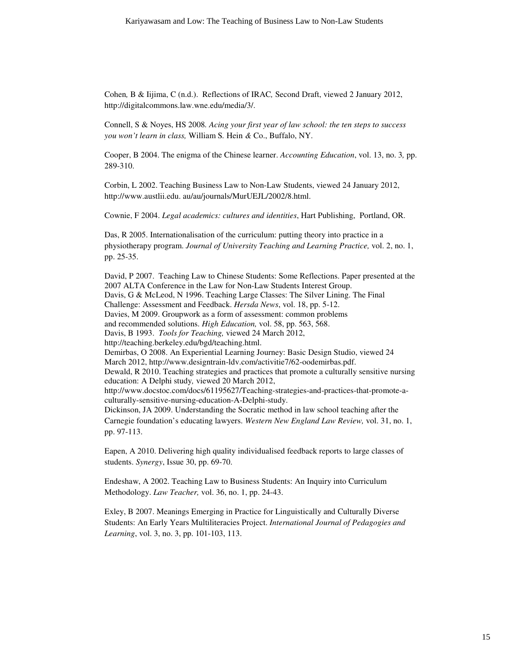Cohen*,* B & Iijima, C (n.d.). Reflections of IRAC*,* Second Draft, viewed 2 January 2012, http://digitalcommons.law.wne.edu/media/3/.

Connell, S & Noyes, HS 2008*. Acing your first year of law school: the ten steps to success you won't learn in class,* William S*.* Hein *&* Co., Buffalo, NY.

Cooper, B 2004. The enigma of the Chinese learner. *Accounting Education*, vol. 13, no. 3*,* pp. 289-310.

Corbin, L 2002. Teaching Business Law to Non-Law Students, viewed 24 January 2012, http://www.austlii.edu. au/au/journals/MurUEJL/2002/8.html.

Cownie, F 2004. *Legal academics: cultures and identities*, Hart Publishing, Portland, OR.

Das, R 2005. Internationalisation of the curriculum: putting theory into practice in a physiotherapy program. *Journal of University Teaching and Learning Practice,* vol. 2, no. 1, pp. 25-35.

David, P 2007. Teaching Law to Chinese Students: Some Reflections. Paper presented at the 2007 ALTA Conference in the Law for Non-Law Students Interest Group. Davis, G & McLeod, N 1996. Teaching Large Classes: The Silver Lining. The Final Challenge: Assessment and Feedback. *Hersda News*, vol. 18, pp. 5-12. Davies, M 2009. Groupwork as a form of assessment: common problems and recommended solutions. *High Education,* vol. 58, pp. 563, 568. Davis, B 1993. *Tools for Teaching,* viewed 24 March 2012, http://teaching.berkeley.edu/bgd/teaching.html. Demirbas, O 2008. An Experiential Learning Journey: Basic Design Studio, viewed 24 March 2012, http://www.designtrain-ldv.com/activitie7/62-oodemirbas.pdf. Dewald, R 2010. Teaching strategies and practices that promote a culturally sensitive nursing education: A Delphi study*,* viewed 20 March 2012, http://www.docstoc.com/docs/61195627/Teaching-strategies-and-practices-that-promote-aculturally-sensitive-nursing-education-A-Delphi-study. Dickinson, JA 2009. Understanding the Socratic method in law school teaching after the Carnegie foundation's educating lawyers. *Western New England Law Review,* vol. 31, no. 1, pp. 97-113.

Eapen, A 2010. Delivering high quality individualised feedback reports to large classes of students. *Synergy*, Issue 30, pp. 69-70.

Endeshaw, A 2002. Teaching Law to Business Students: An Inquiry into Curriculum Methodology. *Law Teacher,* vol. 36, no. 1, pp. 24-43.

Exley, B 2007. Meanings Emerging in Practice for Linguistically and Culturally Diverse Students: An Early Years Multiliteracies Project. *International Journal of Pedagogies and Learning*, vol. 3, no. 3, pp. 101-103, 113.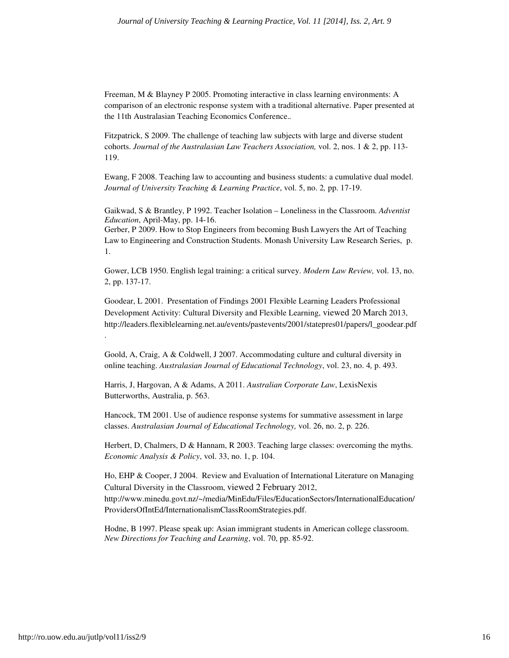Freeman, M & Blayney P 2005. Promoting interactive in class learning environments: A comparison of an electronic response system with a traditional alternative. Paper presented at the 11th Australasian Teaching Economics Conference.*.*

Fitzpatrick, S 2009. The challenge of teaching law subjects with large and diverse student cohorts. *Journal of the Australasian Law Teachers Association,* vol. 2, nos. 1 & 2, pp. 113- 119.

Ewang, F 2008. Teaching law to accounting and business students: a cumulative dual model. *Journal of University Teaching & Learning Practice*, vol. 5, no. 2*,* pp. 17-19.

Gaikwad, S & Brantley, P 1992. Teacher Isolation – Loneliness in the Classroom. *Adventist Education*, April-May, pp. 14-16.

Gerber, P 2009. How to Stop Engineers from becoming Bush Lawyers the Art of Teaching Law to Engineering and Construction Students. Monash University Law Research Series, p. 1.

Gower, LCB 1950. English legal training: a critical survey. *Modern Law Review,* vol. 13, no. 2, pp. 137-17.

Goodear, L 2001. Presentation of Findings 2001 Flexible Learning Leaders Professional Development Activity: Cultural Diversity and Flexible Learning, viewed 20 March 2013, http://leaders.flexiblelearning.net.au/events/pastevents/2001/statepres01/papers/l\_goodear.pdf

Goold, A, Craig, A & Coldwell, J 2007. Accommodating culture and cultural diversity in online teaching. *Australasian Journal of Educational Technology*, vol. 23, no. 4*,* p. 493.

Harris, J, Hargovan, A & Adams, A 2011. *Australian Corporate Law*, LexisNexis Butterworths, Australia, p. 563.

Hancock, TM 2001. Use of audience response systems for summative assessment in large classes. *Australasian Journal of Educational Technology,* vol. 26, no. 2, p. 226.

Herbert, D, Chalmers, D & Hannam, R 2003. Teaching large classes: overcoming the myths. *Economic Analysis & Policy*, vol. 33, no. 1, p. 104.

Ho, EHP & Cooper, J 2004. Review and Evaluation of International Literature on Managing Cultural Diversity in the Classroom, viewed 2 February 2012,

http://www.minedu.govt.nz/~/media/MinEdu/Files/EducationSectors/InternationalEducation/ ProvidersOfIntEd/InternationalismClassRoomStrategies.pdf.

Hodne, B 1997. Please speak up: Asian immigrant students in American college classroom. *New Directions for Teaching and Learning*, vol. 70, pp. 85-92.

.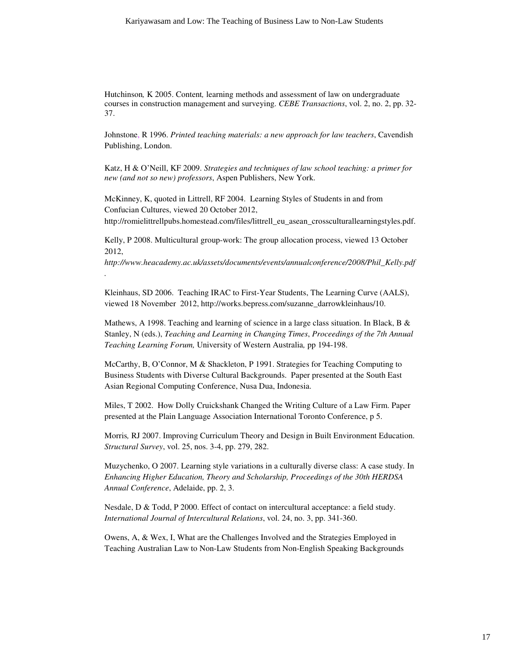Hutchinson*,* K 2005. Content*,* learning methods and assessment of law on undergraduate courses in construction management and surveying. *CEBE Transactions*, vol. 2, no. 2, pp. 32- 37.

Johnstone, R 1996. *Printed teaching materials: a new approach for law teachers*, Cavendish Publishing, London.

Katz, H & O'Neill, KF 2009. *Strategies and techniques of law school teaching: a primer for new (and not so new) professors*, Aspen Publishers, New York.

McKinney, K, quoted in Littrell, RF 2004. Learning Styles of Students in and from Confucian Cultures, viewed 20 October 2012,

*.* 

http://romielittrellpubs.homestead.com/files/littrell\_eu\_asean\_crossculturallearningstyles.pdf.

Kelly, P 2008. Multicultural group-work: The group allocation process, viewed 13 October 2012,

*http://www.heacademy.ac.uk/assets/documents/events/annualconference/2008/Phil\_Kelly.pdf*

Kleinhaus, SD 2006. Teaching IRAC to First-Year Students, The Learning Curve (AALS), viewed 18 November 2012, http://works.bepress.com/suzanne\_darrowkleinhaus/10.

Mathews, A 1998. Teaching and learning of science in a large class situation. In Black, B & Stanley, N (eds.), *Teaching and Learning in Changing Times*, *Proceedings of the 7th Annual Teaching Learning Forum,* University of Western Australia*,* pp 194-198.

McCarthy, B, O'Connor, M & Shackleton, P 1991. Strategies for Teaching Computing to Business Students with Diverse Cultural Backgrounds. Paper presented at the South East Asian Regional Computing Conference, Nusa Dua, Indonesia.

Miles, T 2002. How Dolly Cruickshank Changed the Writing Culture of a Law Firm. Paper presented at the Plain Language Association International Toronto Conference, p 5.

Morris*,* RJ 2007. Improving Curriculum Theory and Design in Built Environment Education. *Structural Survey*, vol. 25, nos. 3-4, pp. 279, 282.

Muzychenko, O 2007. Learning style variations in a culturally diverse class: A case study. In *Enhancing Higher Education, Theory and Scholarship, Proceedings of the 30th HERDSA Annual Conference*, Adelaide, pp. 2, 3.

Nesdale, D & Todd, P 2000. Effect of contact on intercultural acceptance: a field study. *International Journal of Intercultural Relations*, vol. 24, no. 3, pp. 341-360.

Owens, A, & Wex, I, What are the Challenges Involved and the Strategies Employed in Teaching Australian Law to Non-Law Students from Non-English Speaking Backgrounds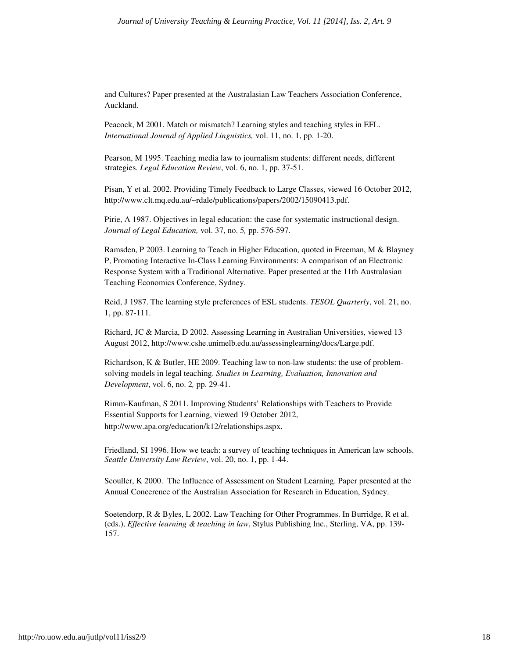and Cultures? Paper presented at the Australasian Law Teachers Association Conference, Auckland.

Peacock, M 2001. Match or mismatch? Learning styles and teaching styles in EFL. *International Journal of Applied Linguistics,* vol. 11, no. 1, pp. 1-20.

Pearson, M 1995. Teaching media law to journalism students: different needs, different strategies. *Legal Education Review*, vol. 6, no. 1, pp. 37-51.

Pisan, Y et al. 2002. Providing Timely Feedback to Large Classes, viewed 16 October 2012, http://www.clt.mq.edu.au/~rdale/publications/papers/2002/15090413.pdf.

Pirie, A 1987. Objectives in legal education: the case for systematic instructional design. *Journal of Legal Education,* vol. 37, no. 5*,* pp. 576-597.

Ramsden, P 2003. Learning to Teach in Higher Education, quoted in Freeman, M & Blayney P, Promoting Interactive In-Class Learning Environments: A comparison of an Electronic Response System with a Traditional Alternative. Paper presented at the 11th Australasian Teaching Economics Conference, Sydney*.*

Reid, J 1987. The learning style preferences of ESL students. *TESOL Quarterly*, vol. 21, no. 1, pp. 87-111.

Richard, JC & Marcia, D 2002. Assessing Learning in Australian Universities, viewed 13 August 2012, http://www.cshe.unimelb.edu.au/assessinglearning/docs/Large.pdf.

Richardson, K & Butler, HE 2009. Teaching law to non-law students: the use of problemsolving models in legal teaching. *Studies in Learning, Evaluation, Innovation and Development*, vol. 6, no. 2*,* pp. 29-41.

Rimm-Kaufman, S 2011. Improving Students' Relationships with Teachers to Provide Essential Supports for Learning, viewed 19 October 2012, http://www.apa.org/education/k12/relationships.aspx.

Friedland, SI 1996. How we teach: a survey of teaching techniques in American law schools. *Seattle University Law Review*, vol. 20, no. 1, pp. 1-44.

Scouller, K 2000. The Influence of Assessment on Student Learning. Paper presented at the Annual Concerence of the Australian Association for Research in Education, Sydney.

Soetendorp, R & Byles, L 2002. Law Teaching for Other Programmes. In Burridge, R et al. (eds.), *Effective learning & teaching in law*, Stylus Publishing Inc., Sterling, VA, pp. 139- 157.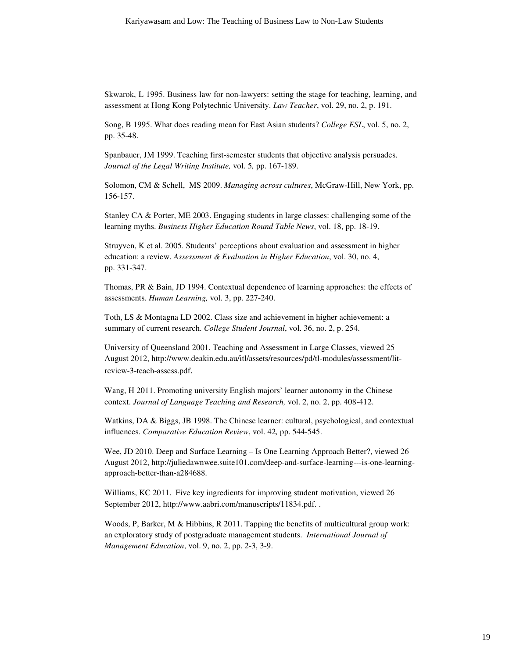Skwarok, L 1995. Business law for non-lawyers: setting the stage for teaching, learning, and assessment at Hong Kong Polytechnic University. *Law Teacher*, vol. 29, no. 2, p. 191.

Song, B 1995. What does reading mean for East Asian students? *College ESL*, vol. 5, no. 2, pp. 35-48.

Spanbauer, JM 1999. Teaching first-semester students that objective analysis persuades. *Journal of the Legal Writing Institute,* vol. 5*,* pp. 167-189.

Solomon, CM & Schell, MS 2009. *Managing across cultures*, McGraw-Hill, New York, pp. 156-157.

Stanley CA & Porter, ME 2003. Engaging students in large classes: challenging some of the learning myths. *Business Higher Education Round Table News*, vol. 18, pp. 18-19.

Struyven, K et al. 2005. Students' perceptions about evaluation and assessment in higher education: a review. *Assessment & Evaluation in Higher Education*, vol. 30, no. 4, pp. 331-347.

Thomas, PR & Bain, JD 1994. Contextual dependence of learning approaches: the effects of assessments. *Human Learning,* vol. 3, pp. 227-240.

Toth, LS & Montagna LD 2002. Class size and achievement in higher achievement: a summary of current research. *College Student Journal*, vol. 36, no. 2, p. 254.

University of Queensland 2001. Teaching and Assessment in Large Classes, viewed 25 August 2012, http://www.deakin.edu.au/itl/assets/resources/pd/tl-modules/assessment/litreview-3-teach-assess.pdf.

Wang, H 2011. Promoting university English majors' learner autonomy in the Chinese context. *Journal of Language Teaching and Research,* vol. 2, no. 2, pp. 408-412.

Watkins, DA & Biggs, JB 1998. The Chinese learner: cultural, psychological, and contextual influences. *Comparative Education Review*, vol. 42*,* pp. 544-545.

Wee, JD 2010. Deep and Surface Learning – Is One Learning Approach Better?, viewed 26 August 2012, http://juliedawnwee.suite101.com/deep-and-surface-learning---is-one-learningapproach-better-than-a284688.

Williams, KC 2011. Five key ingredients for improving student motivation, viewed 26 September 2012, http://www.aabri.com/manuscripts/11834.pdf. .

Woods, P, Barker, M & Hibbins, R 2011. Tapping the benefits of multicultural group work: an exploratory study of postgraduate management students. *International Journal of Management Education*, vol. 9, no. 2, pp. 2-3, 3-9.